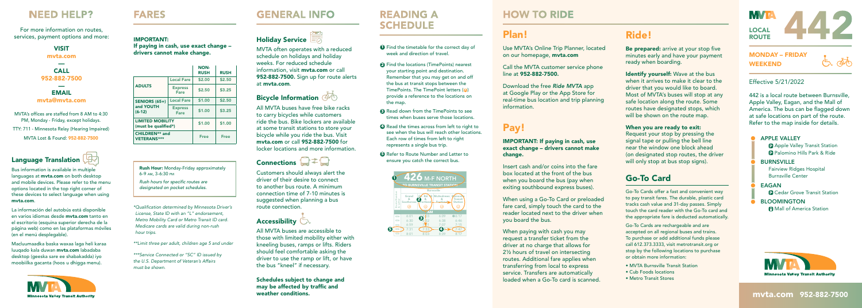#### MONDAY – FRIDAY WEEKEND

 $\overline{\mathbb{A}}$ 

#### Effective 5/21/2022

442 is a local route between Burnsville, Apple Valley, Eagan, and the Mall of America. The bus can be flagged down at safe locations on part of the route. Refer to the map inside for details.

#### **APPLE VALLEY P** Apple Valley Transit Station P Palomino Hills Park & Ride BURNSVILLE Fairview Ridges Hospital Burnsville Center EAGAN **P** Cedar Grove Transit Station **BLOOMINGTON Mall of America Station**



#### mvta.com 952-882-7500

# Plan!

Use MVTA's Online Trip Planner, located on our homepage, mvta.com

 Call the MVTA customer service phone line at 952-882-7500.

Download the free *Ride MVTA* app at Google Play or the App Store for real-time bus location and trip planning information.

Be prepared: arrive at your stop five minutes early and have your payment ready when boarding.

Identify yourself: Wave at the bus when it arrives to make it clear to the driver that you would like to board. Most of MVTA's buses will stop at any safe location along the route. Some routes have designated stops, which will be shown on the route map.

### Pay!

IMPORTANT: If paying in cash, use exact change – drivers cannot make change.

When you are ready to exit: Request your stop by pressing the signal tape or pulling the bell line near the window one block ahead (on designated stop routes, the driver will only stop at bus stop signs).

Insert cash and/or coins into the fare box located at the front of the bus when you board the bus (pay when exiting southbound express buses).

When using a Go-To Card or preloaded fare card, simply touch the card to the reader located next to the driver when you board the bus.

When paying with cash you may request a transfer ticket from the driver at no charge that allows for 2½ hours of travel on intersecting routes. Additional fare applies when transferring from local to express service. Transfers are automatically loaded when a Go-To card is scanned.

### Ride!

**Rush Hour:** Monday-Friday approximately 6-9 AM, 3-6:30 PM

*Rush hours for specific routes are designated on pocket schedules.*

### Go-To Card

Go-To Cards offer a fast and convenient way to pay transit fares. The durable, plastic card tracks cash value and 31-day passes. Simply touch the card reader with the Go-To card and the appropriate fare is deducted automatically.

MVTA's offices are staffed from 8 AM to 4:30 PM, Monday - Friday, except holidays. TTY: 711 - Minnesota Relay (Hearing Impaired) MVTA Lost & Found: 952-882-7500

> Go-To Cards are rechargeable and are accepted on all regional buses and trains. To purchase or add additional funds please call 612.373.3333, visit metrotransit.org or stop by the following locations to purchase or obtain more information:

- MVTA Burnsville Transit Station
- Cub Foods locations
- Metro Transit Stores

**MVIA** LOCAL **ROUTE** 

MVTA often operates with a reduced schedule on holidays and holiday weeks. For reduced schedule information, visit **myta.com** or call 952-882-7500. Sign up for route alerts at mvta.com.

### Bicycle Information @

All MVTA buses have free bike racks to carry bicycles while customers ride the bus. Bike lockers are available at some transit stations to store your bicycle while you ride the bus. Visit mvta.com or call 952-882-7500 for locker locations and more information.

### Connections  $\Box \neq \Box$

- **1** Find the timetable for the correct day of week and direction of travel.
- **2** Find the locations (TimePoints) nearest your starting point and destination. Remember that you may get on and off the bus at transit stops between the TimePoints. The TimePoint letters (<sup>a</sup>) provide a reference to the locations on the map.
- <sup>3</sup> Read down from the TimePoints to see times when buses serve those locations.
- **4** Read the times across from left to right to see when the bus will reach other locations. Each row of times from left to right represents a single bus trip.
- **6** Refer to Route Number and Letter to ensure you catch the correct bus.

Customers should always alert the driver of their desire to connect to another bus route. A minimum connection time of 7-10 minutes is suggested when planning a bus route connection.

### Accessibility  $\Box$

All MVTA buses are accessible to those with limited mobility either with kneeling buses, ramps or lifts. Riders should feel comfortable asking the driver to use the ramp or lift, or have the bus "kneel" if necessary.

Schedules subject to change and may be affected by traffic and weather conditions.

### **READING A SCHEDULE**

#### IMPORTANT: If paying in cash, use exact change – drivers cannot make change.

**FARES** 

*\* Qualifi cation determined by Minnesota Driver's License, State ID with an "L" endorsement, Metro Mobility Card or Metro Transit ID card. Medicare cards are valid during non-rush hour trips.* 

*\*\*Limit three per adult, children age 5 and under*

*\*\*\*Service Connected or "SC" ID issued by the U.S. Department of Veteran's Affairs must be shown.*

### **GENERAL INFO**

### Holiday Service

|                                                 |                               | <b>NON-</b><br><b>RUSH</b> | <b>RUSH</b> |
|-------------------------------------------------|-------------------------------|----------------------------|-------------|
|                                                 | <b>Local Fare</b>             | \$2.00                     | \$2.50      |
| <b>ADULTS</b>                                   | <b>Express</b><br><b>Fare</b> | \$2.50                     | \$3.25      |
| <b>SENIORS (65+)</b>                            | <b>Local Fare</b>             | \$1.00                     | \$2.50      |
| and YOUTH<br>$(6-12)$                           | <b>Express</b><br>Fare        | \$1.00                     | \$3.25      |
| <b>LIMITED MOBILITY</b><br>(must be qualified*) | \$1.00                        | \$1.00                     |             |
| <b>CHILDREN** and</b><br><b>VETERANS***</b>     | <b>Free</b>                   | <b>Free</b>                |             |



Bus information is available in multiple languages at **mvta.com** on both desktop and mobile devices. Please refer to the menu options located in the top right corner of these devices to select language when using mvta.com.

La información del autobús está disponible en varios idiomas desde mvta.com tanto en el escritorio (esquina superior derecha de la página web) como en las plataformas móviles (en el menú desplegable).

Macluumaadka baska waxaa laga heli karaa luuqado kala duwan mvta.com labadaba desktop (geeska sare ee shabakadda) iyo moobiilka gacanta (hoos u dhigga menu).



#### VISIT

mvta.com —

CALL 952-882-7500 — EMAIL

#### mvta@mvta.com

### **NEED HELP?**

For more information on routes, services, payment options and more:



### **HOW TO RIDE**